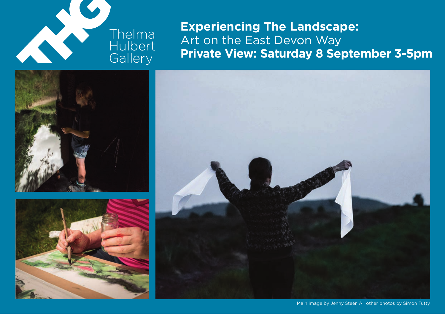

**Experiencing The Landscape:**  Art on the East Devon Way **Private View: Saturday 8 September 3-5pm**







Main image by Jenny Steer. All other photos by Simon Tutty